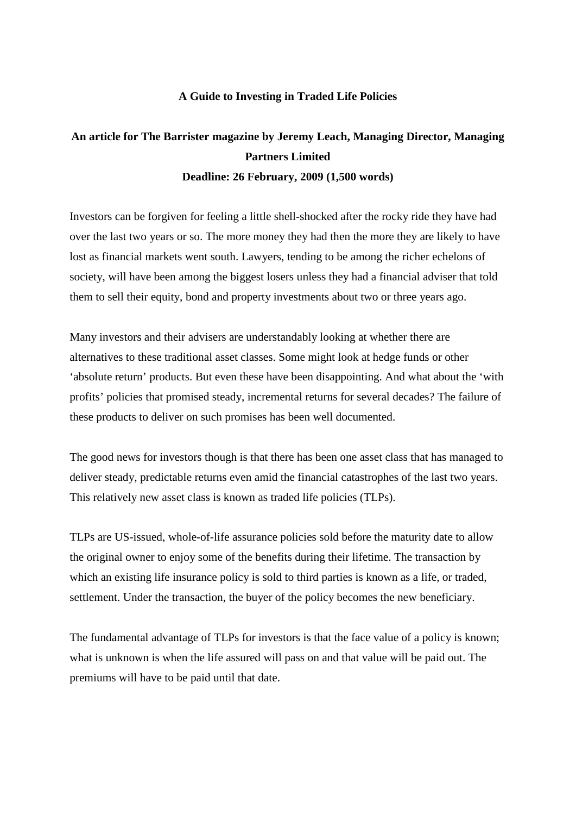## **A Guide to Investing in Traded Life Policies**

## **An article for The Barrister magazine by Jeremy Leach, Managing Director, Managing Partners Limited Deadline: 26 February, 2009 (1,500 words)**

Investors can be forgiven for feeling a little shell-shocked after the rocky ride they have had over the last two years or so. The more money they had then the more they are likely to have lost as financial markets went south. Lawyers, tending to be among the richer echelons of society, will have been among the biggest losers unless they had a financial adviser that told them to sell their equity, bond and property investments about two or three years ago.

Many investors and their advisers are understandably looking at whether there are alternatives to these traditional asset classes. Some might look at hedge funds or other 'absolute return' products. But even these have been disappointing. And what about the 'with profits' policies that promised steady, incremental returns for several decades? The failure of these products to deliver on such promises has been well documented.

The good news for investors though is that there has been one asset class that has managed to deliver steady, predictable returns even amid the financial catastrophes of the last two years. This relatively new asset class is known as traded life policies (TLPs).

TLPs are US-issued, whole-of-life assurance policies sold before the maturity date to allow the original owner to enjoy some of the benefits during their lifetime. The transaction by which an existing life insurance policy is sold to third parties is known as a life, or traded, settlement. Under the transaction, the buyer of the policy becomes the new beneficiary.

The fundamental advantage of TLPs for investors is that the face value of a policy is known; what is unknown is when the life assured will pass on and that value will be paid out. The premiums will have to be paid until that date.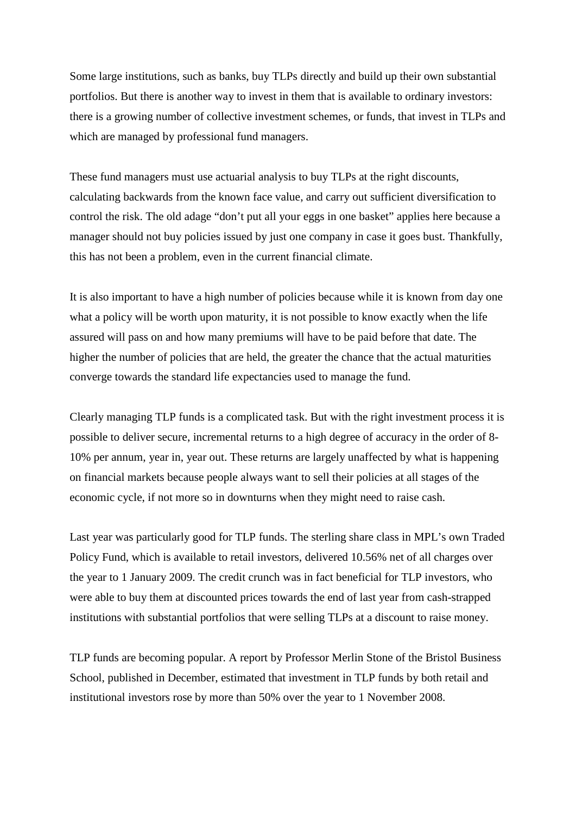Some large institutions, such as banks, buy TLPs directly and build up their own substantial portfolios. But there is another way to invest in them that is available to ordinary investors: there is a growing number of collective investment schemes, or funds, that invest in TLPs and which are managed by professional fund managers.

These fund managers must use actuarial analysis to buy TLPs at the right discounts, calculating backwards from the known face value, and carry out sufficient diversification to control the risk. The old adage "don't put all your eggs in one basket" applies here because a manager should not buy policies issued by just one company in case it goes bust. Thankfully, this has not been a problem, even in the current financial climate.

It is also important to have a high number of policies because while it is known from day one what a policy will be worth upon maturity, it is not possible to know exactly when the life assured will pass on and how many premiums will have to be paid before that date. The higher the number of policies that are held, the greater the chance that the actual maturities converge towards the standard life expectancies used to manage the fund.

Clearly managing TLP funds is a complicated task. But with the right investment process it is possible to deliver secure, incremental returns to a high degree of accuracy in the order of 8- 10% per annum, year in, year out. These returns are largely unaffected by what is happening on financial markets because people always want to sell their policies at all stages of the economic cycle, if not more so in downturns when they might need to raise cash.

Last year was particularly good for TLP funds. The sterling share class in MPL's own Traded Policy Fund, which is available to retail investors, delivered 10.56% net of all charges over the year to 1 January 2009. The credit crunch was in fact beneficial for TLP investors, who were able to buy them at discounted prices towards the end of last year from cash-strapped institutions with substantial portfolios that were selling TLPs at a discount to raise money.

TLP funds are becoming popular. A report by Professor Merlin Stone of the Bristol Business School, published in December, estimated that investment in TLP funds by both retail and institutional investors rose by more than 50% over the year to 1 November 2008.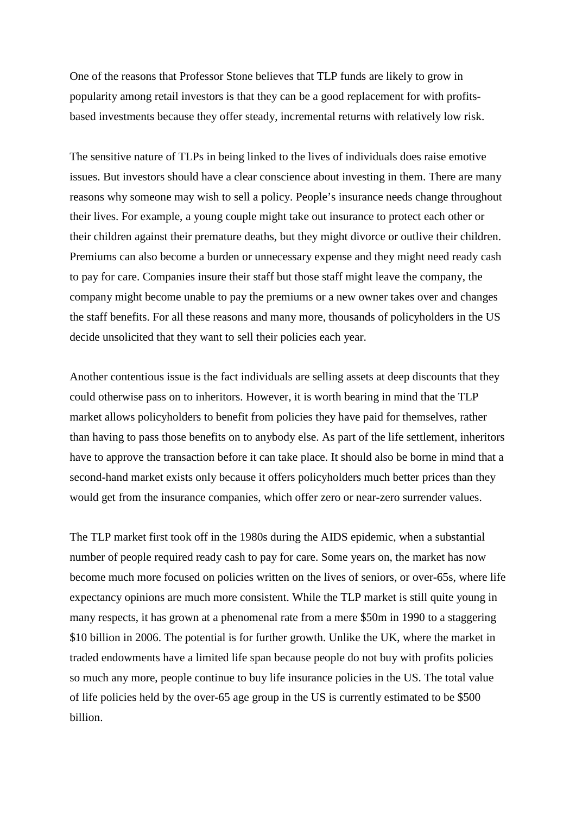One of the reasons that Professor Stone believes that TLP funds are likely to grow in popularity among retail investors is that they can be a good replacement for with profitsbased investments because they offer steady, incremental returns with relatively low risk.

The sensitive nature of TLPs in being linked to the lives of individuals does raise emotive issues. But investors should have a clear conscience about investing in them. There are many reasons why someone may wish to sell a policy. People's insurance needs change throughout their lives. For example, a young couple might take out insurance to protect each other or their children against their premature deaths, but they might divorce or outlive their children. Premiums can also become a burden or unnecessary expense and they might need ready cash to pay for care. Companies insure their staff but those staff might leave the company, the company might become unable to pay the premiums or a new owner takes over and changes the staff benefits. For all these reasons and many more, thousands of policyholders in the US decide unsolicited that they want to sell their policies each year.

Another contentious issue is the fact individuals are selling assets at deep discounts that they could otherwise pass on to inheritors. However, it is worth bearing in mind that the TLP market allows policyholders to benefit from policies they have paid for themselves, rather than having to pass those benefits on to anybody else. As part of the life settlement, inheritors have to approve the transaction before it can take place. It should also be borne in mind that a second-hand market exists only because it offers policyholders much better prices than they would get from the insurance companies, which offer zero or near-zero surrender values.

The TLP market first took off in the 1980s during the AIDS epidemic, when a substantial number of people required ready cash to pay for care. Some years on, the market has now become much more focused on policies written on the lives of seniors, or over-65s, where life expectancy opinions are much more consistent. While the TLP market is still quite young in many respects, it has grown at a phenomenal rate from a mere \$50m in 1990 to a staggering \$10 billion in 2006. The potential is for further growth. Unlike the UK, where the market in traded endowments have a limited life span because people do not buy with profits policies so much any more, people continue to buy life insurance policies in the US. The total value of life policies held by the over-65 age group in the US is currently estimated to be \$500 billion.